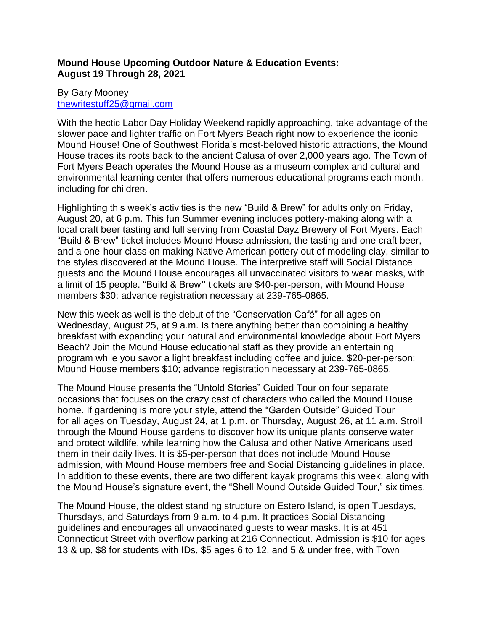# **Mound House Upcoming Outdoor Nature & Education Events: August 19 Through 28, 2021**

## By Gary Mooney [thewritestuff25@gmail.com](mailto:thewritestuff25@gmail.com)

With the hectic Labor Day Holiday Weekend rapidly approaching, take advantage of the slower pace and lighter traffic on Fort Myers Beach right now to experience the iconic Mound House! One of Southwest Florida's most-beloved historic attractions, the Mound House traces its roots back to the ancient Calusa of over 2,000 years ago. The Town of Fort Myers Beach operates the Mound House as a museum complex and cultural and environmental learning center that offers numerous educational programs each month, including for children.

Highlighting this week's activities is the new "Build & Brew" for adults only on Friday, August 20, at 6 p.m. This fun Summer evening includes pottery-making along with a local craft beer tasting and full serving from Coastal Dayz Brewery of Fort Myers. Each "Build & Brew" ticket includes Mound House admission, the tasting and one craft beer, and a one-hour class on making Native American pottery out of modeling clay, similar to the styles discovered at the Mound House. The interpretive staff will Social Distance guests and the Mound House encourages all unvaccinated visitors to wear masks, with a limit of 15 people. "Build & Brew**"** tickets are \$40-per-person, with Mound House members \$30; advance registration necessary at 239-765-0865.

New this week as well is the debut of the "Conservation Café" for all ages on Wednesday, August 25, at 9 a.m. Is there anything better than combining a healthy breakfast with expanding your natural and environmental knowledge about Fort Myers Beach? Join the Mound House educational staff as they provide an entertaining program while you savor a light breakfast including coffee and juice. \$20-per-person; Mound House members \$10; advance registration necessary at 239-765-0865.

The Mound House presents the "Untold Stories" Guided Tour on four separate occasions that focuses on the crazy cast of characters who called the Mound House home. If gardening is more your style, attend the "Garden Outside" Guided Tour for all ages on Tuesday, August 24, at 1 p.m. or Thursday, August 26, at 11 a.m. Stroll through the Mound House gardens to discover how its unique plants conserve water and protect wildlife, while learning how the Calusa and other Native Americans used them in their daily lives. It is \$5-per-person that does not include Mound House admission, with Mound House members free and Social Distancing guidelines in place. In addition to these events, there are two different kayak programs this week, along with the Mound House's signature event, the "Shell Mound Outside Guided Tour," six times.

The Mound House, the oldest standing structure on Estero Island, is open Tuesdays, Thursdays, and Saturdays from 9 a.m. to 4 p.m. It practices Social Distancing guidelines and encourages all unvaccinated guests to wear masks. It is at 451 Connecticut Street with overflow parking at 216 Connecticut. Admission is \$10 for ages 13 & up, \$8 for students with IDs, \$5 ages 6 to 12, and 5 & under free, with Town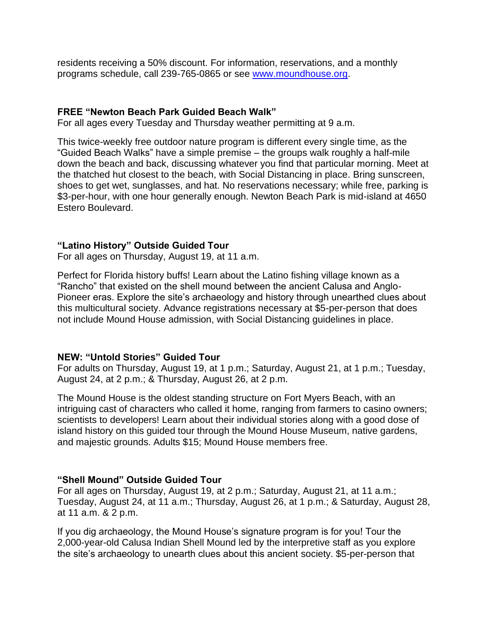residents receiving a 50% discount. For information, reservations, and a monthly programs schedule, call 239-765-0865 or see [www.moundhouse.org.](http://www.moundhouse.org/)

#### **FREE "Newton Beach Park Guided Beach Walk"**

For all ages every Tuesday and Thursday weather permitting at 9 a.m.

This twice-weekly free outdoor nature program is different every single time, as the "Guided Beach Walks" have a simple premise – the groups walk roughly a half-mile down the beach and back, discussing whatever you find that particular morning. Meet at the thatched hut closest to the beach, with Social Distancing in place. Bring sunscreen, shoes to get wet, sunglasses, and hat. No reservations necessary; while free, parking is \$3-per-hour, with one hour generally enough. Newton Beach Park is mid-island at 4650 Estero Boulevard.

## **"Latino History" Outside Guided Tour**

For all ages on Thursday, August 19, at 11 a.m.

Perfect for Florida history buffs! Learn about the Latino fishing village known as a "Rancho" that existed on the shell mound between the ancient Calusa and Anglo-Pioneer eras. Explore the site's archaeology and history through unearthed clues about this multicultural society. Advance registrations necessary at \$5-per-person that does not include Mound House admission, with Social Distancing guidelines in place.

## **NEW: "Untold Stories" Guided Tour**

For adults on Thursday, August 19, at 1 p.m.; Saturday, August 21, at 1 p.m.; Tuesday, August 24, at 2 p.m.; & Thursday, August 26, at 2 p.m.

The Mound House is the oldest standing structure on Fort Myers Beach, with an intriguing cast of characters who called it home, ranging from farmers to casino owners; scientists to developers! Learn about their individual stories along with a good dose of island history on this guided tour through the Mound House Museum, native gardens, and majestic grounds. Adults \$15; Mound House members free.

## **"Shell Mound" Outside Guided Tour**

For all ages on Thursday, August 19, at 2 p.m.; Saturday, August 21, at 11 a.m.; Tuesday, August 24, at 11 a.m.; Thursday, August 26, at 1 p.m.; & Saturday, August 28, at 11 a.m. & 2 p.m.

If you dig archaeology, the Mound House's signature program is for you! Tour the 2,000-year-old Calusa Indian Shell Mound led by the interpretive staff as you explore the site's archaeology to unearth clues about this ancient society. \$5-per-person that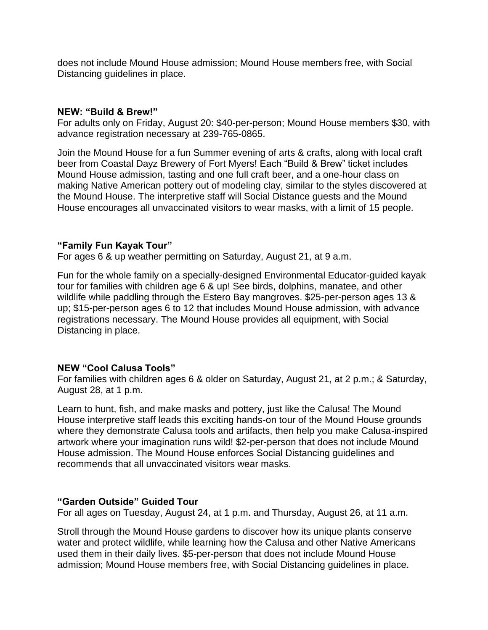does not include Mound House admission; Mound House members free, with Social Distancing guidelines in place.

### **NEW: "Build & Brew!"**

For adults only on Friday, August 20: \$40-per-person; Mound House members \$30, with advance registration necessary at 239-765-0865.

Join the Mound House for a fun Summer evening of arts & crafts, along with local craft beer from Coastal Dayz Brewery of Fort Myers! Each "Build & Brew" ticket includes Mound House admission, tasting and one full craft beer, and a one-hour class on making Native American pottery out of modeling clay, similar to the styles discovered at the Mound House. The interpretive staff will Social Distance guests and the Mound House encourages all unvaccinated visitors to wear masks, with a limit of 15 people.

## **"Family Fun Kayak Tour"**

For ages 6 & up weather permitting on Saturday, August 21, at 9 a.m.

Fun for the whole family on a specially-designed Environmental Educator-guided kayak tour for families with children age 6 & up! See birds, dolphins, manatee, and other wildlife while paddling through the Estero Bay mangroves. \$25-per-person ages 13 & up; \$15-per-person ages 6 to 12 that includes Mound House admission, with advance registrations necessary. The Mound House provides all equipment, with Social Distancing in place.

## **NEW "Cool Calusa Tools"**

For families with children ages 6 & older on Saturday, August 21, at 2 p.m.; & Saturday, August 28, at 1 p.m.

Learn to hunt, fish, and make masks and pottery, just like the Calusa! The Mound House interpretive staff leads this exciting hands-on tour of the Mound House grounds where they demonstrate Calusa tools and artifacts, then help you make Calusa-inspired artwork where your imagination runs wild! \$2-per-person that does not include Mound House admission. The Mound House enforces Social Distancing guidelines and recommends that all unvaccinated visitors wear masks.

## **"Garden Outside" Guided Tour**

For all ages on Tuesday, August 24, at 1 p.m. and Thursday, August 26, at 11 a.m.

Stroll through the Mound House gardens to discover how its unique plants conserve water and protect wildlife, while learning how the Calusa and other Native Americans used them in their daily lives. \$5-per-person that does not include Mound House admission; Mound House members free, with Social Distancing guidelines in place.